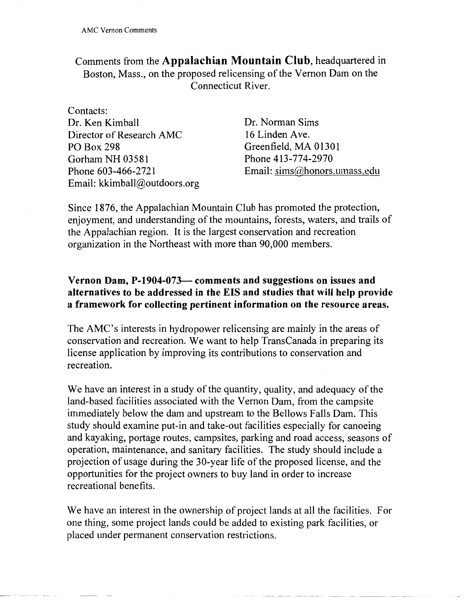Comments from the **Appalachian Mountain Club,** headquartered in Boston, Mass., on the proposed relicensing of the Vernon Dam on the Connecticut River.

Contacts: Dr. Ken Kimball Director of Research AMC PO Box 298 Gorham NH 03581 Phone 603-466-2721 Email: kkimball@outdoors.org

Dr. Norman Sims 16 Linden Ave. Greenfield, MA 01301 Phone 413-774-2970 Email: sims@honors.umass.edu

Since 1876, the Appalachian Mountain Club has promoted the protection, enjoyment, and understanding of the mountains, forests, waters, and trails of the Appalachian region. It is the largest conservation and recreation organization in the Northeast with more than 90,000 members.

## **Vernon Dam, P-1904-073- comments and suggestions on issues and alternatives to be addressed in the EIS and studies that will help provide a framework for collecting pertinent information on the resource areas.**

The AMC's interests in hydropower relicensing are mainly in the areas of conservation and recreation. We want to help Trans Canada in preparing its license application by improving its contributions to conservation and recreation.

We have an interest in a study of the quantity, quality, and adequacy of the land-based facilities associated with the Vernon Dam, from the campsite immediately below the dam and upstream to the Bellows Falls Dam. This study should examine put-in and take-out facilities especially for canoeing and kayaking, portage routes, campsites, parking and road access, seasons of operation, maintenance, and sanitary facilities. The study should include a projection of usage during the 30-year life of the proposed license, and the opportunities for the project owners to buy land in order to increase recreational benefits.

We have an interest in the ownership of project lands at all the facilities. For one thing, some project lands could be added to existing park facilities, or placed under permanent conservation restrictions.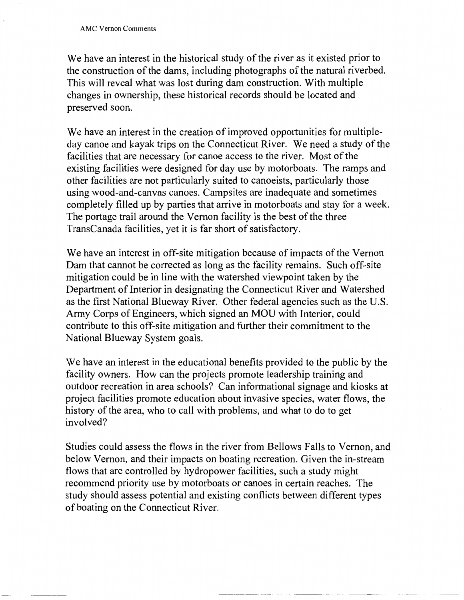We have an interest in the historical study of the river as it existed prior to the construction of the dams, including photographs of the natural riverbed. This will reveal what was lost during dam construction. With multiple changes in ownership, these historical records should be located and preserved soon.

We have an interest in the creation of improved opportunities for multipleday canoe and kayak trips on the Connecticut River. We need a study of the facilities that are necessary for canoe access to the river. Most of the existing facilities were designed for day use by motorboats. The ramps and other facilities are not particularly suited to canoeists, particularly those using wood-and-canvas canoes. Campsites are inadequate and sometimes completely filled up by parties that arrive in motorboats and stay for a week. The portage trail around the Vernon facility is the best of the three TransCanada facilities, yet it is far short of satisfactory.

We have an interest in off-site mitigation because of impacts of the Vernon Dam that cannot be corrected as long as the facility remains. Such off-site mitigation could be in line with the watershed viewpoint taken by the Department of Interior in designating the Connecticut River and Watershed as the first National Blueway River. Other federal agencies such as the U.S. Army Corps of Engineers, which signed an MOU with Interior, could contribute to this off-site mitigation and further their commitment to the National Blueway System goals.

We have an interest in the educational benefits provided to the public by the facility owners. How can the projects promote leadership training and outdoor recreation in area schools? Can informational signage and kiosks at project facilities promote education about invasive species, water flows, the history of the area, who to call with problems, and what to do to get involved?

Studies could assess the flows in the river from Bellows Falls to Vernon, and below Vernon, and their impacts on boating recreation. Given the in-stream flows that are controlled by hydropower facilities, such a study might recommend priority use by motorboats or canoes in certain reaches. The study should assess potential and existing conflicts between different types of boating on the Connecticut River.